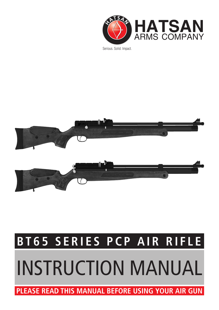

Serious. Solid. Impact.



# **BT65 SERIES PCP AIR RIFLE**

# INSTRUCTION MANUAL

**PLEASE READ THIS MANUAL BEFORE USING YOUR AIR GUN**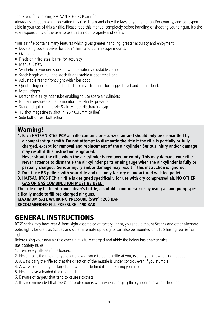Thank you for choosing HATSAN BT65 PCP air rifle.

Always use caution when operating this rifle. Learn and obey the laws of your state and/or country, and be responsible in your use of this air rifle. Please read this manual completely before handling or shooting your air gun. It's the sole responsibility of the user to use this air gun properly and safely.

Your air rifle contains many features which gives greater handling, greater accuracy and enjoyment:

- Dovetail groove receiver for both 11mm and 22mm scope mounts.
- Overall blued finish
- Precision rifled steel barrel for accuracy
- Manual Safety
- Synthetic or wooden stock all with elevation adjustable comb
- Stock length of pull and stock fit adjustable rubber recoil pad
- Adjustable rear & front sight with fiber optic.
- Quattro Trigger: 2-stage full adjustable match trigger for trigger travel and trigger load.
- Metal trigger
- Detachable air cylinder tube enabling to use spare air cylinders
- Built-in pressure gauge to monitor the cylinder pressure
- Standard quick-fill nozzle & air cylinder discharging cap
- 10 shot magazine (9 shot in .25 / 6.35mm caliber)
- Side bolt or rear bolt action

## Warning!

**1. Each HATSAN BT65 PCP air rifle contains pressurized air and should only be dismantled by a competent gunsmith. Do not attempt to dismantle the rifle if the rifle is partially or fully charged, except for removal and replacement of the air cylinder. Serious injury and/or damage may result if this instruction is ignored.** 

**Never shoot the rifle when the air cylinder is removed or empty. This may damage your rifle. Never attempt to dismantle the air cylinder parts or air gauge when the air cylinder is fully or partially charged. Serious injury and/or damage may result if this instruction is ignored.**

- **2. Don't use BB pellets with your rifle and use only factory manufactured waisted pellets.**
- **3. HATSAN BT65 PCP air rifle is designed specifically for use with dry compressed air. NO OTHER GAS OR GAS COMBINATION MUST BE USED.**

**The rifle may be filled from a diver's bottle, a suitable compressor or by using a hand pump specifically made to fill pre-charged air guns.**

**MAXIMUM SAFE WORKING PRESSURE (SWP) : 200 BAR.**

**RECOMMENDED FILL PRESSURE : 190 BAR**

## GENERAL INSTRUCTIONS

BT65 series may have rear & front sight assembled at factory. If not, you should mount Scopes and other alternate optic sights before use. Scopes and other alternate optic sights can also be mounted on BT65 having rear & front sight.

Before using your new air rifle check if it is fully charged and abide the below basic safety rules: Basic Safety Rules:

- 1. Treat every rifle as if it is loaded.
- 2. Never point the rifle at anyone, or allow anyone to point a rifle at you, even if you know it is not loaded.
- 3. Always carry the rifle so that the direction of the muzzle is under control, even if you stumble.
- 4. Always be sure of your target and what lies behind it before firing your rifle.
- 5. Never leave a loaded rifle unattended.
- 6. Beware of targets that tend to cause ricochets
- 7. It is recommended that eye & ear protection is worn when charging the cylinder and when shooting.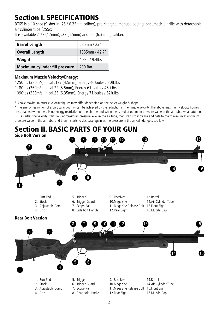# Section I. SPECIFICATIONS

BT65 is a 10 shot (9 shot in .25 / 6.35mm caliber), pre-charged, manual loading, pneumatic air rifle with detachable air cylinder tube (255cc)

It is available .177 (4.5mm), .22 (5.5mm) and .25 (6.35mm) caliber.

| <b>Barrel Length</b>           | 585mm / 23"    |
|--------------------------------|----------------|
| <b>Overall Length</b>          | 1085mm / 42.7" |
| Weight                         | 4.3kg / 9.4lbs |
| Maximum cylinder fill pressure | 200 Bar        |

## **Maximum Muzzle Velocity/Energy:**

1250fps (380m/s) in cal .177 (4.5mm), Energy 40Joules / 30ft.lbs 1180fps (360m/s) in cal.22 (5.5mm), Energy 61Joules / 45ft.lbs 1090fps (330m/s) in cal.25 (6.35mm), Energy 71Joules / 52ft.lbs

\* Above maximum muzzle velocity figures may differ depending on the pellet weight & shape.

\* The energy restriction of a particular country can be achieved by the reduction in the muzzle velocity. The above maximum velocity figures are obtained when there is no energy restriction on the air rifle and when measured at optimum pressure value in the air tube. As a nature of PCP air rifles the velocity starts low at maximum pressure level in the air tube, then starts to increase and gets to the maximum at optimum pressure value in the air tube; and then it starts to decrease again as the pressure in the air cylinder gets too low.

# Section II. BASIC PARTS OF YOUR GUN

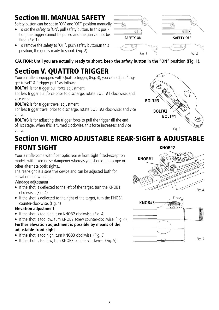# Section III. MANUAL SAFETY

Safety button can be set to 'ON' and 'OFF' position manually.

- To set the safety to 'ON', pull safety button. In this position, the trigger cannot be pulled and the gun cannot be fired. (Fig.1)
- To remove the safety to 'OFF', push safety button. In this position, the gun is ready to shoot. (Fig. 2)



*Fig. 1 Fig. 2*

**CAUTION: Until you are actually ready to shoot, keep the safety button in the "ON" position (Fig. 1).**

# Section V. QUATTRO TRIGGER

Your air rifle is equipped with Quattro trigger, (Fig. 3), you can adjust "trigger travel" & "trigger pull" as follows:

**BOLT#1** is for trigger pull force adjustment.

For less trigger pull force prior to discharge, rotate BOLT #1 clockwise; and vice versa.

**BOLT#2** is for trigger travel adjustment.

For less trigger travel prior to discharge, rotate BOLT #2 clockwise; and vice versa.

**BOLT#3** is for adjusting the trigger force to pull the trigger till the end of 1st stage. When this is turned clockwise, this force increases; and vice versa. *Fig. 3*



## Section VI. MICRO ADJUSTABLE REAR-SIGHT & ADJUSTABLE FRONT SIGHT **KNOB#2**

Your air rifle come with fiber optic rear & front sight fitted-except on models with fixed noise-dampener whereas you should fit a scope or other alternate optic sights..

The rear-sight is a sensitive device and can be adjusted both for elevation and windage.

Windage adjustment

- If the shot is deflected to the left of the target, turn the KNOB1 clockwise. (Fig. 4)
- If the shot is deflected to the right of the target, turn the KNOB1 counter-clockwise. (Fig. 4)

## **Elevation adjustment**

- If the shot is too high, turn KNOB2 clockwise. (Fig. 4)
- If the shot is too low, turn KNOB2 screw counter-clockwise. (Fig. 4) **Further elevation adjustment is possible by means of the adjustable front sight.**
- If the shot is too high, turn KNOB3 clockwise. (Fig. 5)
- If the shot is too low, turn KNOB3 counter-clockwise. (Fig. 5)

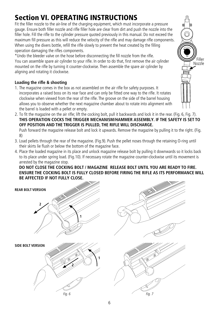# Section VI. OPERATING INSTRUCTIONS

Fit the filler nozzle to the air-line of the charging equipment, which must incorporate a pressure gauge. Ensure both filler nozzle and rifle filler hole are clear from dirt and push the nozzle into the filler hole. Fill the rifle to the cylinder pressure quoted previously in this manual. Do not exceed the maximum fill pressure as this will reduce the velocity of the rifle and may damage rifle components. When using the divers bottle, refill the rifle slowly to prevent the heat created by the filling operation damaging the rifles components.

\*Undo the bleeder valve on the hose before disconnecting the fill nozzle from the rifle. You can assemble spare air cylinder to your rifle. In order to do that, first remove the air cylinder mounted on the rifle by turning it counter-clockwise. Then assemble the spare air cylinder by aligning and rotating it clockwise.

## **Loading the rifle & shooting**

- 1. The magazine comes in the box as not assembled on the air rifle for safety purposes. It incorporates a raised boss on its rear face and can only be fitted one way to the rifle. It rotates clockwise when viewed from the rear of the rifle. The groove on the side of the barrel housing allows you to observe whether the next magazine chamber about to rotate into alignment with the barrel is loaded with a pellet or empty.
- 2. To fit the magazine on the air rifle; lift the cocking bolt, pull it backwards and lock it in the rear. (Fig. 6, Fig. 7). **THIS OPERATION COCKS THE TRIGGER MECHANISM/HAMMER ASSEMBLY. IF THE SAFETY IS SET TO OFF POSITION AND THE TRIGGER IS PULLED, THE RIFLE WILL DISCHARGE.** Push forward the magazine release bolt and lock it upwards. Remove the magazine by pulling it to the right. (Fig.

8) 3. Load pellets through the rear of the magazine. (Fig.9). Push the pellet noses through the retaining O-ring until their skirts lie flush or below the bottom of the magazine face.

4. Place the loaded magazine in its place and unlock magazine release bolt by pulling it downwards so it locks back to its place under spring load. (Fig.10). If necessary rotate the magazine counter-clockwise until its movement is arrested by the magazine stop.

**DO NOT CLOSE THE COCKING BOLT / MAGAZINE RELEASE BOLT UNTIL YOU ARE READY TO FIRE. ENSURE THE COCKING BOLT IS FULLY CLOSED BEFORE FIRING THE RIFLE AS ITS PERFORMANCE WILL BE AFFECTED IF NOT FULLY CLOSE.**



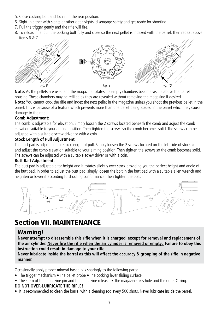- 5. Close cocking bolt and lock it in the rear position.
- 6. Sight-in either with sights or other optic sights; disengage safety and get ready for shooting.
- 7. Pull the trigger gently and the rifle will fire.
- 8. To reload rifle, pull the cocking bolt fully and close so the next pellet is indexed with the barrel. Then repeat above items 6 & 7.



**Note:** As the pellets are used and the magazine rotates, its empty chambers become visible above the barrel housing. These chambers may be refilled as they are revealed without removing the magazine if desired.

**Note:** You cannot cock the rifle and index the next pellet in the magazine unless you shoot the previous pellet in the barrel. This is because of a feature which prevents more than one pellet being loaded in the barrel which may cause damage to the rifle.

## **Comb Adjustment:**

The comb is adjustable for elevation. Simply loosen the 2 screws located beneath the comb and adjust the comb elevation suitable to your aiming position. Then tighten the screws so the comb becomes solid. The screws can be adjusted with a suitable screw driver or with a coin.

## **Stock Length of Pull Adjustment**

The butt pad is adjustable for stock length of pull. Simply loosen the 2 screws located on the left side of stock comb and adjust the comb elevation suitable to your aiming position. Then tighten the screws so the comb becomes solid. The screws can be adjusted with a suitable screw driver or with a coin.

## **Butt Bad Adjustment:**

The butt pad is adjustable for height and it rotates slightly over stock providing you the perfect height and angle of the butt pad. In order to adjust the butt pad, simply loosen the bolt in the butt pad with a suitable allen wrench and heighten or lower it according to shooting conformance. Then tighten the bolt.



## Section VII. MAINTENANCE

## Warning!

**Never attempt to disassemble this rifle when it is charged, except for removal and replacement of the air cylinder. Never fire the rifle when the air cylinder is removed or empty. Failure to obey this instruction could result in damage to your rifle.**

**Never lubricate inside the barrel as this will affect the accuracy & grouping of the rifle in negative manner.**

Occasionally apply proper mineral based oils sparingly to the following parts:

- The trigger mechanism  $\bullet$  The pellet probe  $\bullet$  The cocking lever sliding surface
- The stern of the magazine pin and the magazine release. The magazine axis hole and the outer O-ring. **DO NOT OVER-LUBRICATE THE RIFLE!**
- It is recommended to clean the barrel with a cleaning rod every 500 shots. Never lubricate inside the barrel.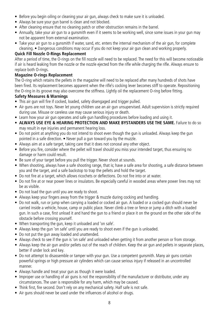- Before you begin oiling or cleaning your air gun, always check to make sure it is unloaded.
- Always be sure your gun barrel is clean and not blocked.
- After cleaning ensure that no cleaning patch or other obstruction remains in the barrel.
- Annually, take your air gun to a gunsmith even if it seems to be working well, since some issues in your gun may not be apparent from external examination.
- Take your air gun to a gunsmith if water, sand, etc. enters the internal mechanism of the air gun, for complete cleaning. • Dangerous conditions may occur if you do not keep your air gun clean and working properly.

## **Quick Fill Nozzle O-Rings Replacement**

After a period of time, the O-rings on the fill nozzle will need to be replaced. The need for this will become noticeable if air is heard leaking from the nozzle or the nozzle ejected from the rifle while charging the rifle. Always ensure to replace both O-rings.

## **Magazine O-rings Replacement**

The O-ring which retains the pellets in the magazine will need to be replaced after many hundreds of shots have been fired. Its replacement becomes apparent when the rifle's cocking lever becomes stiff to operate. Repositioning the O-ring in its groove may also overcome the stiffness. Lightly oil the replacement O-ring before fitting.

## **Safety Measures & Warnings**

- This air gun will fire if cocked, loaded, safety disengaged and trigger pulled.
- Air guns are not toys. Never let young children use an air gun unsupervised. Adult supervision is strictly required during use. Misuse or careless use may cause serious injury or death.
- Learn how your air gun operates and safe gun handling procedures before loading and using it.
- **• ALWAYS USE EYE & HEARING PROTECTION AND MAKE BYSTANDERS USE THE SAME.** Failure to do so may result in eye injuries and permanent hearing loss.
- Do not point at anything you do not intend to shoot even though the gun is unloaded. Always keep the gun pointed in a safe direction. • Never pull a gun toward you by the muzzle.
- Always aim at a safe target, taking care that it does not conceal any other object.
- Before you fire, consider where the pellet will travel should you miss your intended target, thus ensuring no damage or harm could result.
- Be sure of your target before you pull the trigger. Never shoot at sounds.
- When shooting, always have a safe shooting range, that is; have a safe area for shooting, a safe distance between you and the target, and a safe backstop to trap the pellets and hold the target.
- Do not fire at a target, which allows ricochets or deflections. Do not fire into or at water.
- Do not fire at or near power lines or insulators. Be especially careful in wooded areas where power lines may not be as visible.
- Do not load the gun until you are ready to shoot.
- Always keep your fingers away from the trigger & muzzle during cocking and handling.
- Do not walk, run or jump when carrying a loaded or cocked air gun. A loaded or a cocked gun should never be carried inside a vehicle, house, camp or public place. Never climb a tree or fence or jump a ditch with a loaded gun. In such a case, first unload it and hand the gun to a friend or place it on the ground on the other side of the obstacle before crossing yourself.
- When transporting the gun, keep it unloaded and 'on safe'.
- Always keep the gun 'on safe' until you are ready to shoot even if the gun is unloaded.
- Do not put the gun away loaded and unattended.
- • Always check to see if the gun is 'on safe' and unloaded when getting it from another person or from storage.
- Always keep the air gun and/or pellets out of the reach of children. Keep the air gun and pellets in separate places, better if under lock and key.
- Do not attempt to disassemble or tamper with your gun. Use a competent gunsmith. Many air guns contain powerful springs or high pressure air cylinders which can cause serious injury if released in an uncontrolled manner.
- Always handle and treat your gun as though it were loaded.
- Improper use or handling of air guns is not the responsibility of the manufacturer or distributor, under any circumstances. The user is responsible for any harm, which may be caused.
- Think first, fire second. Don't rely on any mechanical safety. Half safe is not safe.
- Air guns should never be used under the influences of alcohol or drugs.